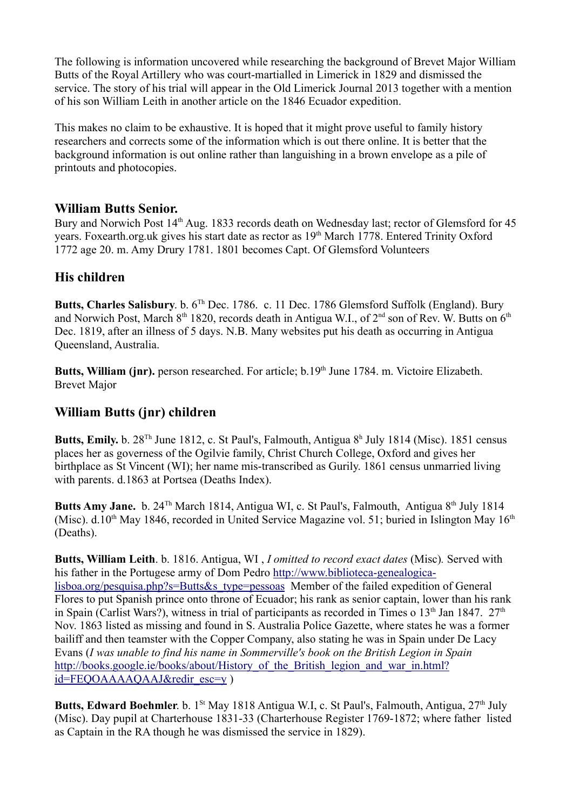The following is information uncovered while researching the background of Brevet Major William Butts of the Royal Artillery who was court-martialled in Limerick in 1829 and dismissed the service. The story of his trial will appear in the Old Limerick Journal 2013 together with a mention of his son William Leith in another article on the 1846 Ecuador expedition.

This makes no claim to be exhaustive. It is hoped that it might prove useful to family history researchers and corrects some of the information which is out there online. It is better that the background information is out online rather than languishing in a brown envelope as a pile of printouts and photocopies.

## **William Butts Senior.**

Bury and Norwich Post 14<sup>th</sup> Aug. 1833 records death on Wednesday last; rector of Glemsford for 45 years. Foxearth.org.uk gives his start date as rector as 19<sup>th</sup> March 1778. Entered Trinity Oxford 1772 age 20. m. Amy Drury 1781. 1801 becomes Capt. Of Glemsford Volunteers

## **His children**

**Butts, Charles Salisbury**. b. 6Th Dec. 1786. c. 11 Dec. 1786 Glemsford Suffolk (England). Bury and Norwich Post, March  $8<sup>th</sup> 1820$ , records death in Antigua W.I., of  $2<sup>nd</sup>$  son of Rev. W. Butts on  $6<sup>th</sup>$ Dec. 1819, after an illness of 5 days. N.B. Many websites put his death as occurring in Antigua Queensland, Australia.

Butts, William (jnr). person researched. For article; b.19<sup>th</sup> June 1784. m. Victoire Elizabeth. Brevet Major

## **William Butts (jnr) children**

**Butts, Emily.** b. 28<sup>Th</sup> June 1812, c. St Paul's, Falmouth, Antigua 8<sup>h</sup> July 1814 (Misc). 1851 census places her as governess of the Ogilvie family, Christ Church College, Oxford and gives her birthplace as St Vincent (WI); her name mis-transcribed as Gurily. 1861 census unmarried living with parents. d.1863 at Portsea (Deaths Index).

**Butts Amy Jane.** b. 24<sup>Th</sup> March 1814, Antigua WI, c. St Paul's, Falmouth, Antigua 8<sup>th</sup> July 1814 (Misc). d.10<sup>th</sup> May 1846, recorded in United Service Magazine vol. 51; buried in Islington May  $16<sup>th</sup>$ (Deaths).

**Butts, William Leith**. b. 1816. Antigua, WI , *I omitted to record exact dates* (Misc)*.* Served with his father in the Portugese army of Dom Pedro http://www.biblioteca-genealogicalisboa.org/pesquisa.php?s=Butts&s\_type=pessoas Member of the failed expedition of General Flores to put Spanish prince onto throne of Ecuador; his rank as senior captain, lower than his rank in Spain (Carlist Wars?), witness in trial of participants as recorded in Times o  $13<sup>th</sup>$  Jan 1847.  $27<sup>th</sup>$ Nov. 1863 listed as missing and found in S. Australia Police Gazette, where states he was a former bailiff and then teamster with the Copper Company, also stating he was in Spain under De Lacy Evans (*I was unable to find his name in Sommerville's book on the British Legion in Spain* http://books.google.ie/books/about/History of the British legion and war in.html? id=FEQOAAAAQAAJ&redir\_esc=y )

**Butts, Edward Boehmler**. b. 1<sup>St</sup> May 1818 Antigua W.I, c. St Paul's, Falmouth, Antigua, 27<sup>th</sup> July (Misc). Day pupil at Charterhouse 1831-33 (Charterhouse Register 1769-1872; where father listed as Captain in the RA though he was dismissed the service in 1829).